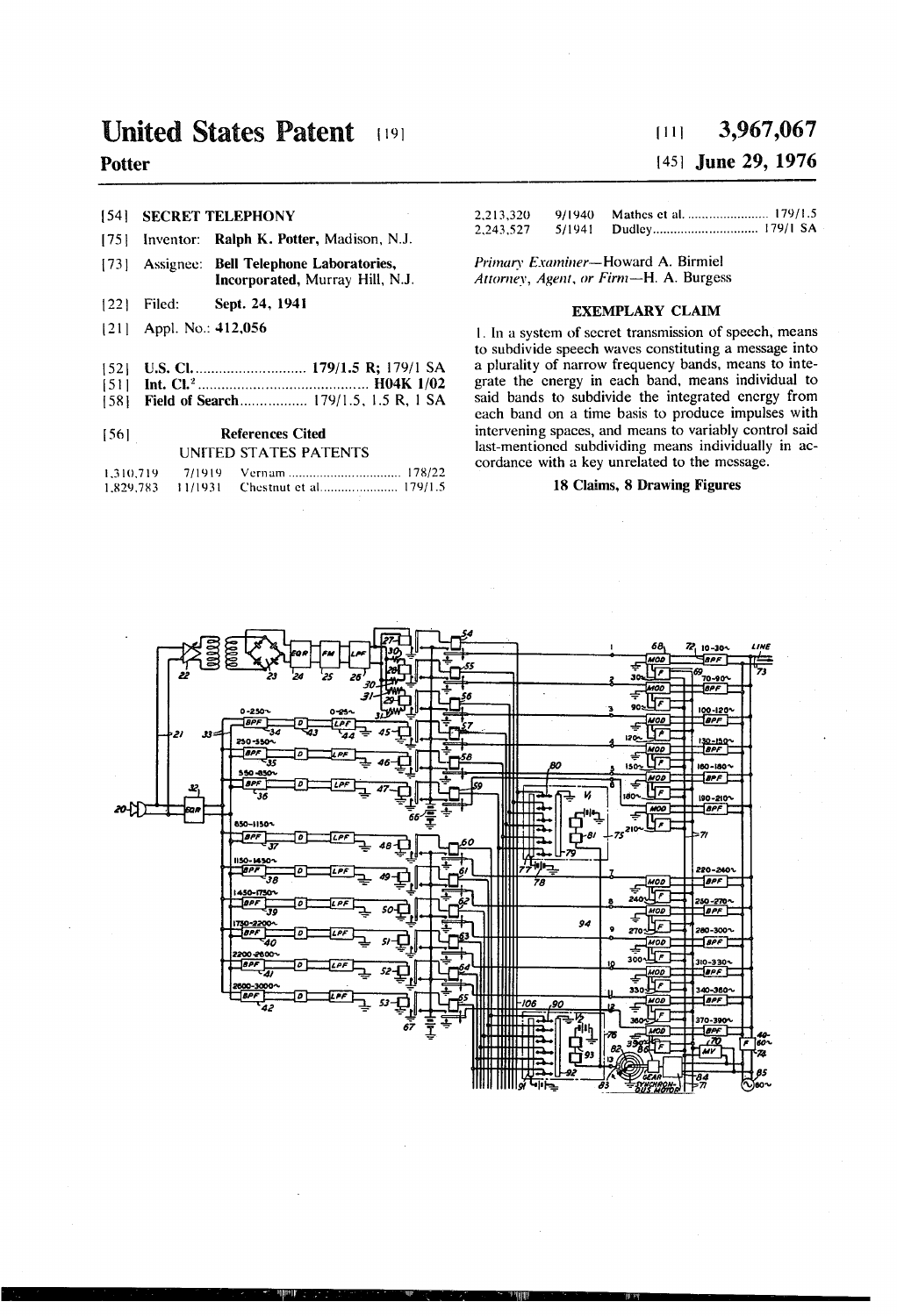# United States Patent 1191

### Potter

### 1541 SECRET TELEPHONY

- [75] Inventor: **Ralph K. Potter,** Madison, N.J.
- [73] Assignee: Bell Telephone Laboratories, Incorporated, Murray Hill, NJ.
- [221 Filed: Sept. 24, 1941
- 1211 Appl. No.: 412,056
- I52] U.S. Cl. .......................... .. l79/l.5 R; 179/1 SA
- [51 ] Int. Cl.2 ......................................... .. H04K 1/02 [58] Field of Search .................. 179/1.5, 1.5 R, 1 SA
- 

## [56] **References Cited** UNlTED STATES PATENTS

| 1.310.719 | 7/1919 |  |
|-----------|--------|--|
|           |        |  |

## $[11]$  3,967,067 1451 June 29, 1976

| 2.213.320 | 9/1940 |  |
|-----------|--------|--|
| 2.243.527 |        |  |

Primary Examiner-Howard A. Birmiel Attorney, Agent, or Firm-H. A. Burgess

### EXEMPLARY CLAIM

1. In a system of secret transmission of speech, means to subdivide speech waves constituting a message into a plurality of narrow frequency bands, means to inte grate the energy in each band, means individual to said bands to subdivide the integrated energy from each band on a time basis to produce impulses with intervening spaces, and means to variably control said last-mentioned subdividing means individually in accordance with a key unrelated to the message.

### 18 Claims, 8 Drawing Figures

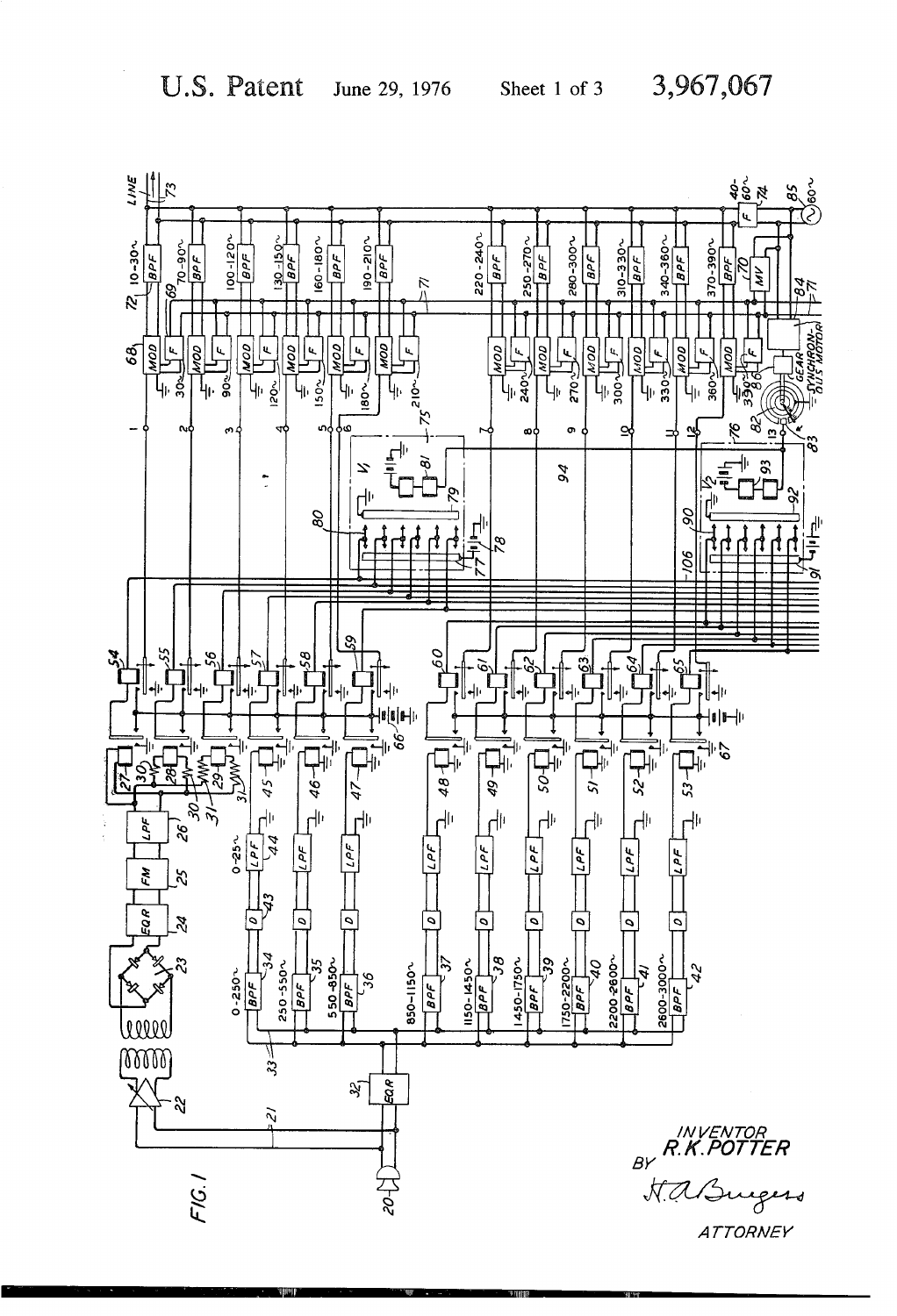Sheet 1 of 3 3,967,067

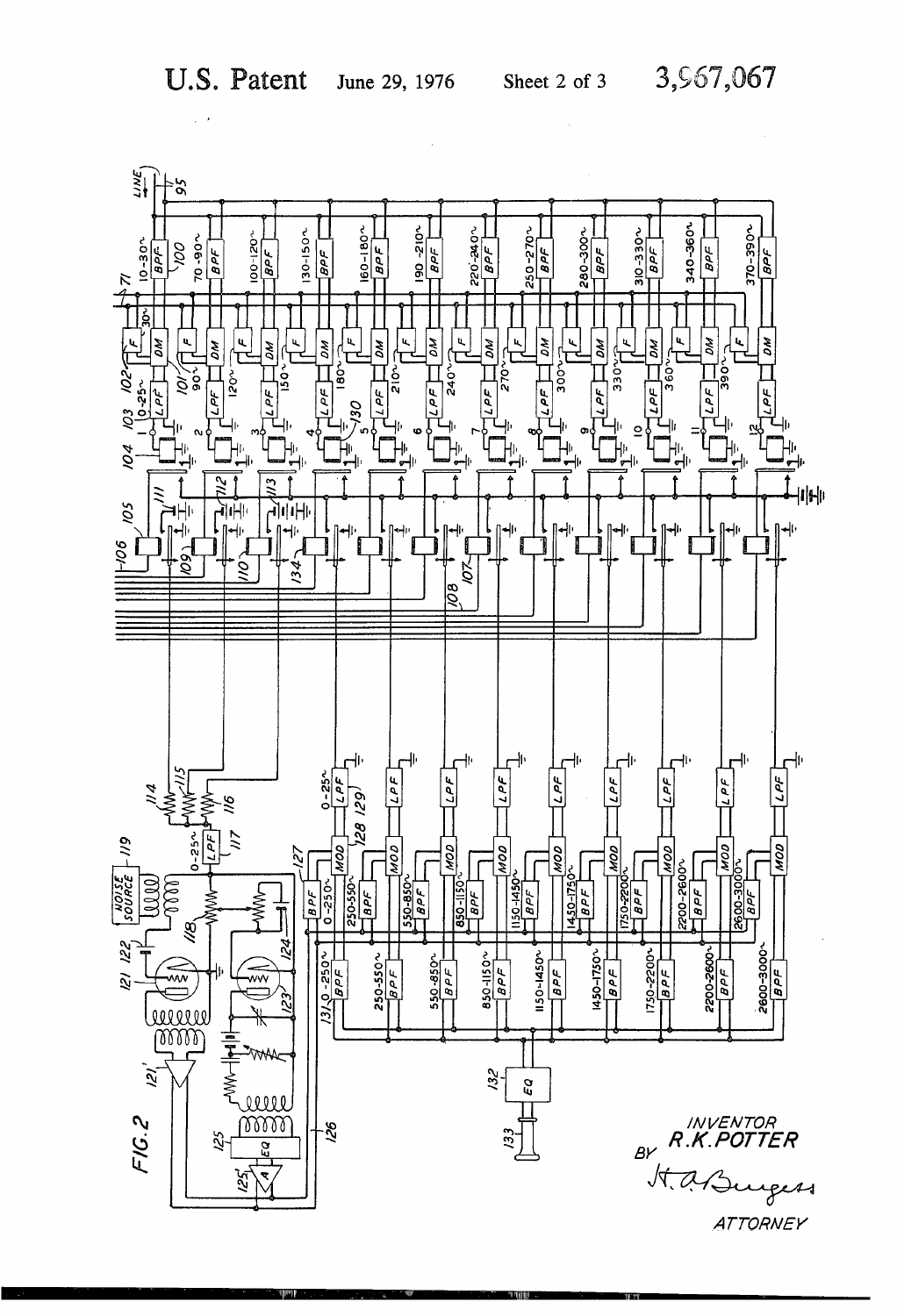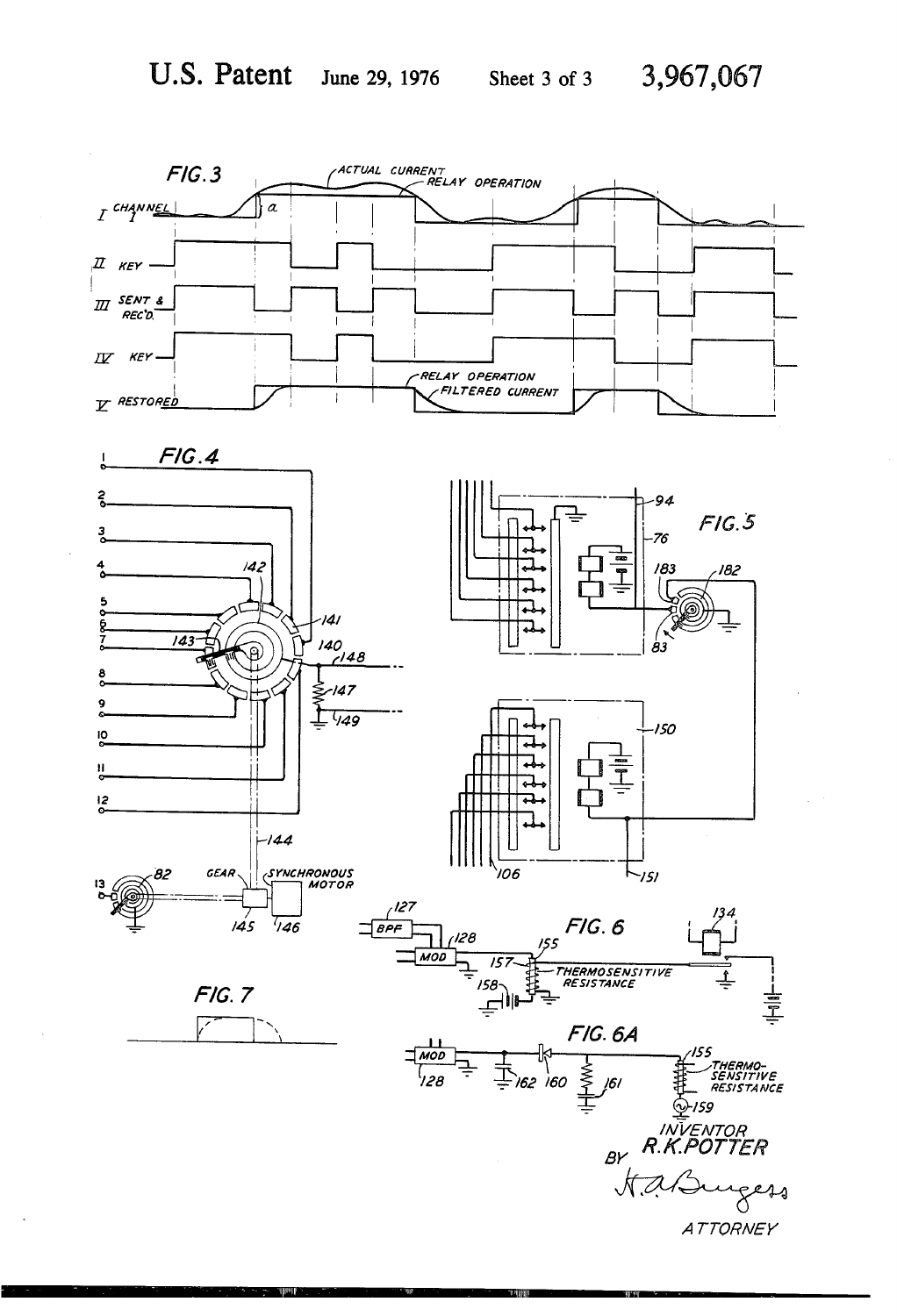June 29, 1976 Sheet 3 of 3 3,967,067

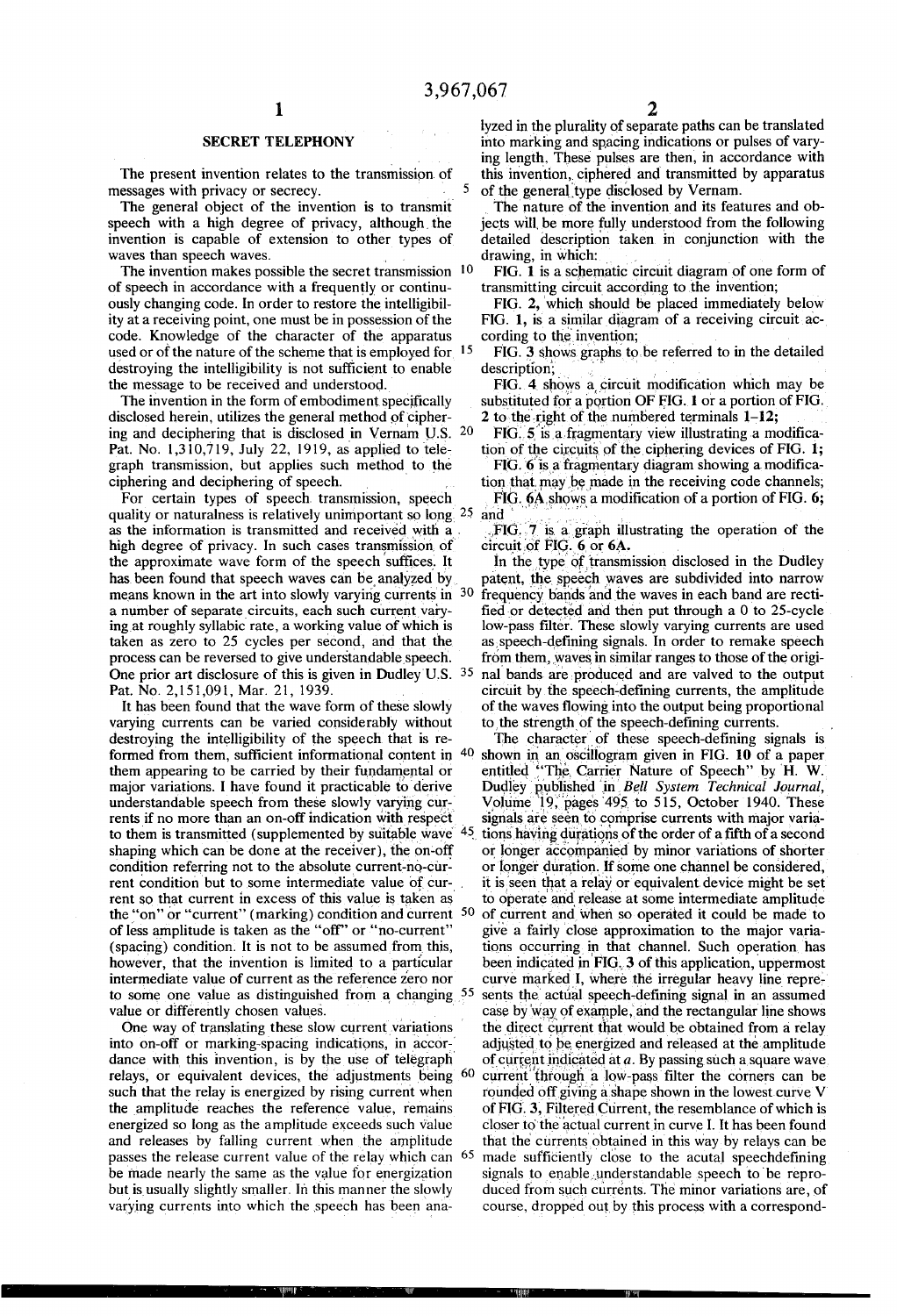### SECRET TELEPHONY

The present invention relates to the transmission. of messages with privacy or secrecy.

The general object of the invention is to transmit speech with a high degree of privacy, although the invention is capable of extension to other types of waves than speech waves.

The invention makes possible the secret transmission 10 of speech in accordance with a frequently or continu ously changing code. In order to restore the intelligibil ity at a receiving point, one must be in possession of the code. Knowledge of the character of the apparatus used or of the nature of the scheme that is employed for <sup>15</sup> destroying the intelligibility is not sufficient to enable the message to be received and understood.

The invention in the form of embodiment specifically disclosed herein, utilizes the general method of cipher ing and deciphering that is disclosed in Vernam U.S.  $20$ Pat. No. 1,310,719, July 22, 1919, as applied to telegraph transmission, but applies such method to the ciphering and deciphering of speech.

For certain types of speech. transmission, speech' quality or naturalness is relatively unimportant so long  $^{22}$  and increasing  $\sim$ as the information is transmitted and received with a high degree of privacy. In such cases transmission of the approximate wave form of the speech suffices. It has been found that speech waves can be analyzed by means known in the art into slowly varying currents in a number of separate circuits, each such current varyingat roughly syllabic rate, a working value of which is taken as zero to 25 cycles per second, and that the process can be reversed to give understandable speech. One prior art disclosure of this is given in Dudley U.S. <sup>35</sup> Pat. No. 2,151,091, Mar. 21, 1939.

It has been found that the wave form of these slowly varying currents can be varied considerably without destroying the intelligibility of the speech that is reformed from them, sufficient informational content in  $40$ them appearing to be carried by their fundamental or major variations. I have found it practicable to derive understandable speech from these slowly varying currents if no more than an on-off indication with respect shaping which can be done at the receiver), the on-off condition referring not to the absolute current-no-current condition but to some intermediate value of current so that current in excess of this value is taken as the "on" or "current" (marking) condition and current 50 of less amplitude is taken as the "off" or "no-current" (spacing) condition. It is not to be assumed from this, however, that the invention is limited to a particular intermediate value of current as the reference zero nor to some one value as distinguished from a changing  $55$ value or differently chosen values.

One way of translating these slow current variations into on-off or marking-spacing indications, in accordance with this invention, is by the use of telegraph relays, or equivalent devices, the adjustments being 60 such that the relay is energized by rising current when the amplitude reaches the reference value, remains energized so long as the amplitude exceeds such value and releases by falling current when the amplitude passes the release current value of the relay which can 65 be made nearly the same as the value for energization but is usually slightly smaller. In this manner the slowly varying currents into which the speech has been ana

lyzed in the plurality of separate paths can be translated into marking and spacing indications or pulses of vary ing length. These pulses are then, in accordance with this invention, ciphered and transmitted by apparatus of the general type disclosed by Vernam.

The nature of the invention and its features and objects will, be more fully understood from the following detailed description taken in conjunction with the drawing, in which:

FIG. 1 is a schematic circuit diagram of one form of transmitting circuit according to the invention;

FIG. 2, which should be placed immediately below FIG. 1, is a similar diagram of a receiving circuit ac-

cording to the invention;<br>FIG. 3 shows graphs to be referred to in the detailed description;

FIG. 4 shows a circuit modification which may be substituted for a portion OF FIG. I or a portion of FIG. 2 to the right of the numbered terminals  $1-12$ ;

FIG.  $5$  is a fragmentary view illustrating a modification of the circuits of the ciphering devices of FIG.  $1$ ;

FIG. 6 is a fragmentary diagram showing a modifica-

tion that may be made in the receiving code channels; FIG. 6A, shows a modification of a portion of FIG. 6;

FIG. 7 is a graph illustrating the operation of the circuit of FIG. 6 or 6A.

In the type of transmission disclosed in the Dudley patent, the speech waves are subdivided into narrow frequency" bands and the waves in each band are recti fied or detected and then put through a  $0$  to 25-cycle low-pass filter. These slowly varying currents are used as speech-defining signals. In order to remake speech from them, waves in similar ranges to those of the original bands are produced and are valved to the output circuit by the speech-defining currents, the amplitude of the waves flowing into the output being proportional to the strength of the speech-defining currents.

rents if no more than an on-off indication with respect signals are seen to comprise currents with major varia-<br>to them is transmitted (supplemented by suitable wave <sup>45</sup> tions having durations of the order of a fifth of a The character of these speech-defining signals is shown in an oscillogram given in FIG. 10 of a paper entitled "The Carrier Nature of Speech" by H. W. Dudley published in Bell System Technical Journal, Volume 19, pages 495 to 515, October 1940. These signals are seen to comprise currents with major variaor longer accompanied by minor variations of shorter or longer duration. If some one channel be considered, it is seen that a relay or equivalent device might be set to operate and; release at some intermediate amplitude of current and when so operated it could be made to give a fairly close approximation to the major varia tions occurring in that channel. Such operation. has been indicated in FIG. 3 of this application, uppermost curve marked I, where the irregular heavy line represents the actual speech-defining signal in an assumed case by way of example , and the rectangular line shows the direct current that would be obtained from a relay adjusted to be. energized and released at the amplitude of current indicated at  $a$ . By passing such a square wave current through a low-pass filter the corners can be rounded off giving a shape shown in the lowest curve V of FIG. 3, Filtered Current, the resemblance of which is closer to the actual current in curve I. It has been found that the currents obtained in this way by relays can be made sufficiently close to the acutal speechdefining signals to enable understandable speech to be reproduced from such currents. The minor variations are, of course, dropped out by this process with a correspond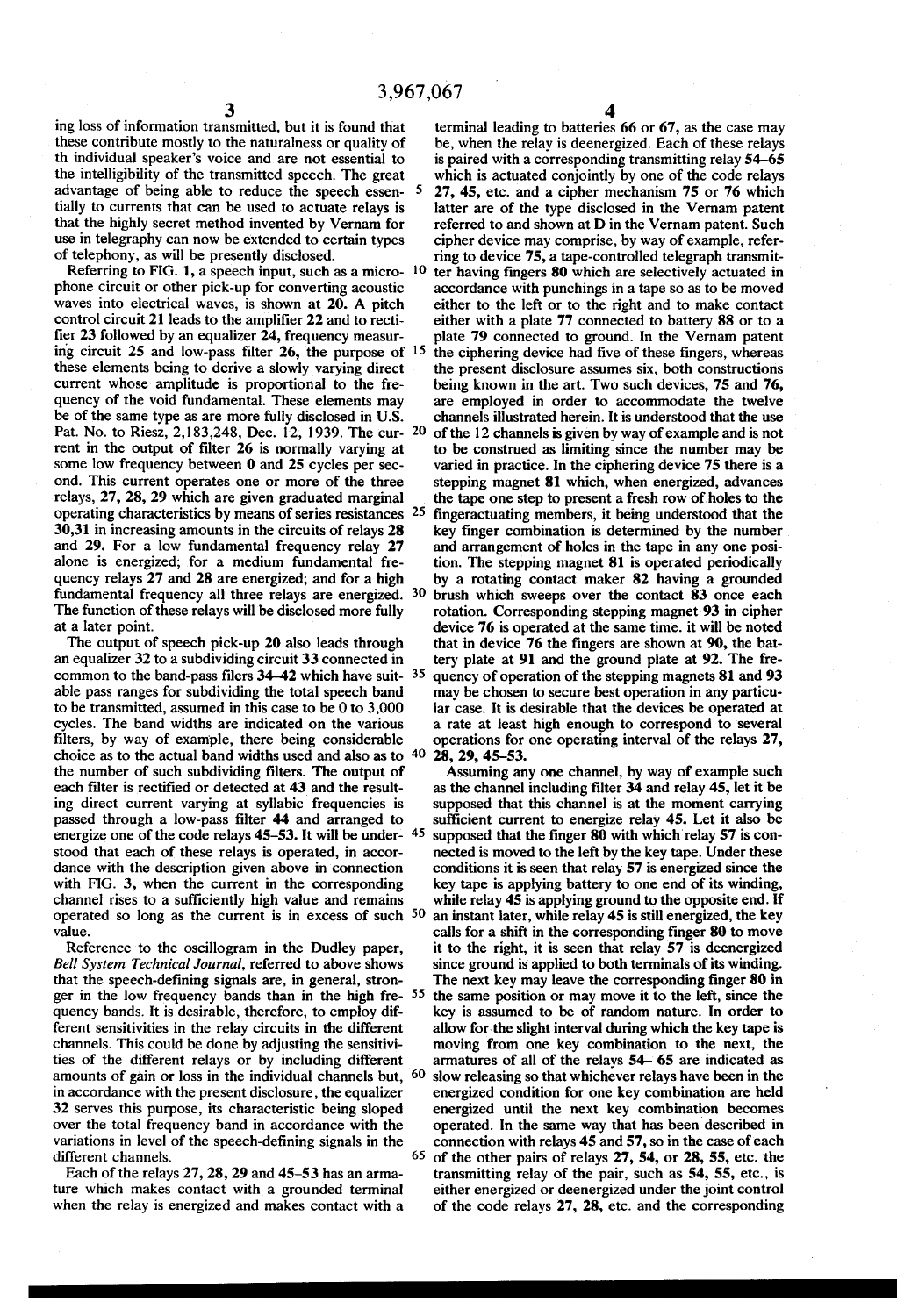ing loss of information transmitted, but it is found that these contribute mostly to the naturalness or quality of th individual speaker's voice and are not essential to the intelligibility of the transmitted speech. The great  $\overline{\mathbf{5}}$ advantage of being able to reduce the speech essentially to currents that can be used to actuate relays is that the highly secret method invented by Vernam for use in telegraphy can now be extended to certain types of telephony, as will be presently disclosed.

phone circuit or other pick-up for converting acoustic waves into electrical waves, is shown at 20. A pitch control circuit 21 leads to the amplifier 22 and to rectifier 23 followed by an equalizer 24, frequency measuring circuit 25 and low-pass filter 26, the purpose of <sup>15</sup> these elements being to derive a slowly varying direct current whose amplitude is proportional to the frequency of the void fundamental. These elements may be of the same type as are more fully disclosed in U.S. Pat. No. to Riesz, 2,183,248, Dec. 12, 1939. The cur- 20 rent in the output of filter 26 is normally varying at some low frequency between 0 and 25 cycles per second. This current operates one or more of the three relays, 27, 28, 29 which are given graduated marginal operating characteristics by means of series resistances 25 30,31 in increasing amounts in the circuits of relays 28 and 29. For a low fundamental frequency relay 27 alone is energized; for a medium fundamental frequency relays 27 and 28 are energized; and for a high fundamental frequency all three relays are energized. 30 The function of these relays will be disclosed more fully at a later point.

The output of speech pick-up 20 also leads through an equalizer 32 to a subdividing circuit 33 connected in common to the band-pass filers 34-42 which have suit-35 able pass ranges for subdividing the total speech band to be transmitted, assumed in this case to be 0 to 3,000 cycles. The band widths are indicated on the various filters, by way of example, there being considerable choice as to the actual band widths used and also as to 40 the number of such subdividing filters. The output of each filter is rectified or detected at 43 and the resulting direct current varying at syllabic frequencies is passed through a low-pass filter 44 and arranged to energize one of the code relays 45-53. It will be under-45 stood that each of these relays is operated, in accordance with the description given above in connection with FIG. 3, when the current in the corresponding channel rises to a sufficiently high value and remains operated so long as the current is in excess of such 50 value.

Reference to the oscillogram in the Dudley paper, Bell System Technical Journal, referred to above shows that the speech-defining signals are, in general, stronger in the low frequency bands than in the high fre- 55 quency bands. It is desirable, therefore, to employ different sensitivities in the relay circuits in the different channels. This could be done by adjusting the sensitivities of the different relays or by including different amounts of gain or loss in the individual channels but. 60 in accordance with the present disclosure, the equalizer 32 serves this purpose, its characteristic being sloped over the total frequency band in accordance with the variations in level of the speech-defining signals in the different channels.

Each of the relays 27, 28, 29 and 45-53 has an armature which makes contact with a grounded terminal when the relay is energized and makes contact with a

terminal leading to batteries 66 or 67, as the case may be, when the relay is deenergized. Each of these relays is paired with a corresponding transmitting relay 54-65 which is actuated conjointly by one of the code relays 27, 45, etc. and a cipher mechanism 75 or 76 which latter are of the type disclosed in the Vernam patent referred to and shown at D in the Vernam patent. Such cipher device may comprise, by way of example, referring to device 75, a tape-controlled telegraph transmit-Referring to FIG. 1, a speech input, such as a micro-  $10$  ter having fingers 80 which are selectively actuated in accordance with punchings in a tape so as to be moved either to the left or to the right and to make contact either with a plate 77 connected to battery 88 or to a plate 79 connected to ground. In the Vernam patent the ciphering device had five of these fingers, whereas the present disclosure assumes six, both constructions being known in the art. Two such devices, 75 and 76, are employed in order to accommodate the twelve channels illustrated herein. It is understood that the use of the 12 channels is given by way of example and is not to be construed as limiting since the number may be varied in practice. In the ciphering device 75 there is a stepping magnet 81 which, when energized, advances the tape one step to present a fresh row of holes to the fingeractuating members, it being understood that the key finger combination is determined by the number and arrangement of holes in the tape in any one position. The stepping magnet 81 is operated periodically by a rotating contact maker 82 having a grounded brush which sweeps over the contact 83 once each rotation. Corresponding stepping magnet 93 in cipher device 76 is operated at the same time. it will be noted that in device 76 the fingers are shown at 90, the battery plate at 91 and the ground plate at 92. The frequency of operation of the stepping magnets 81 and 93 may be chosen to secure best operation in any particular case. It is desirable that the devices be operated at a rate at least high enough to correspond to several operations for one operating interval of the relays 27, 28. 29. 45-53.

> Assuming any one channel, by way of example such as the channel including filter 34 and relay 45, let it be supposed that this channel is at the moment carrying sufficient current to energize relay 45. Let it also be supposed that the finger 80 with which relay 57 is connected is moved to the left by the key tape. Under these conditions it is seen that relay 57 is energized since the key tape is applying battery to one end of its winding, while relay 45 is applying ground to the opposite end. If an instant later, while relay 45 is still energized, the key calls for a shift in the corresponding finger 80 to move it to the right, it is seen that relay 57 is deenergized since ground is applied to both terminals of its winding. The next key may leave the corresponding finger 80 in the same position or may move it to the left, since the key is assumed to be of random nature. In order to allow for the slight interval during which the key tape is moving from one key combination to the next, the armatures of all of the relays 54–65 are indicated as slow releasing so that whichever relays have been in the energized condition for one key combination are held energized until the next key combination becomes operated. In the same way that has been described in connection with relays 45 and 57, so in the case of each of the other pairs of relays 27, 54, or 28, 55, etc. the transmitting relay of the pair, such as 54, 55, etc., is either energized or deenergized under the joint control of the code relays 27, 28, etc. and the corresponding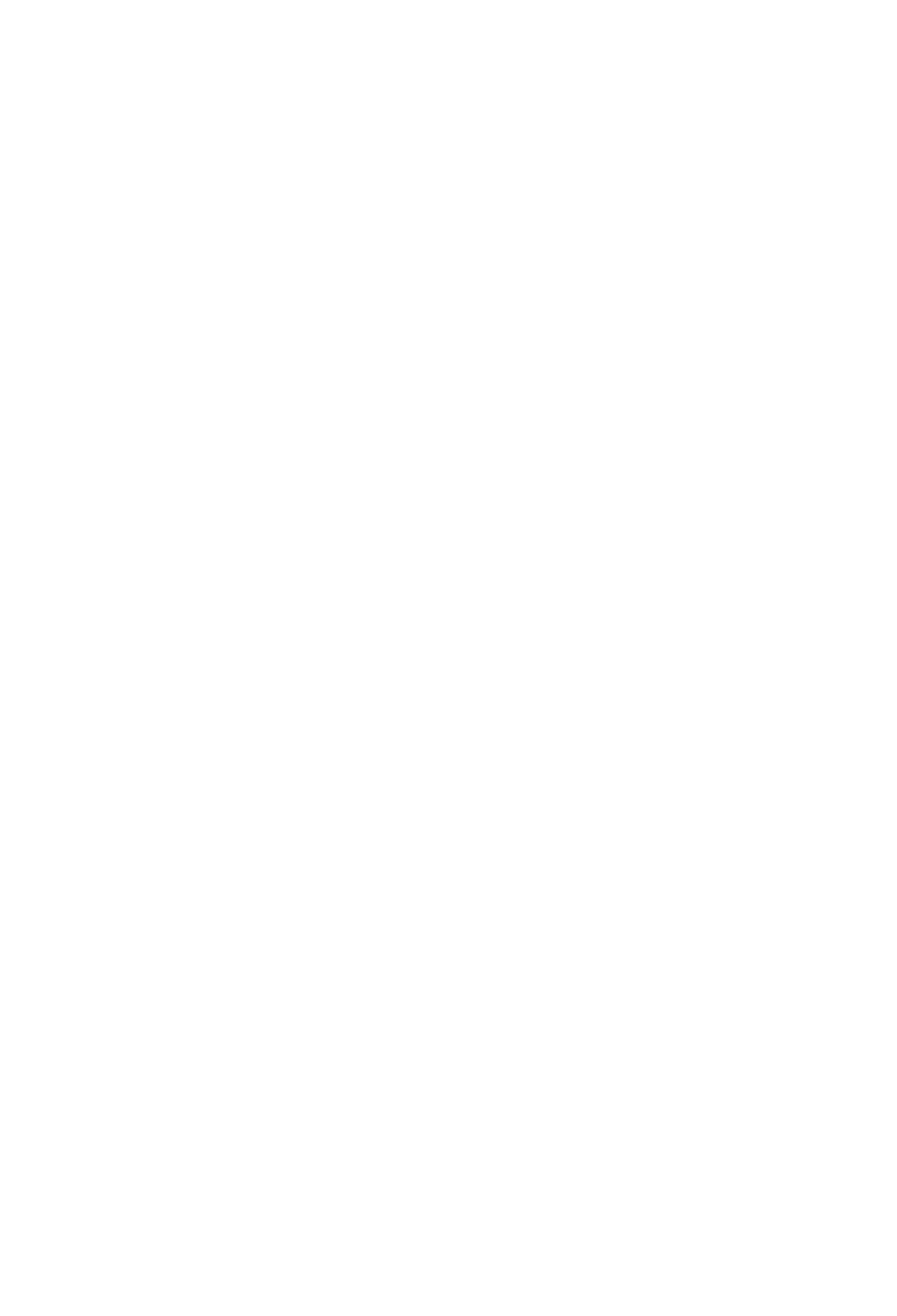ciphering mechanism 75 or 76. Tapes with different keys may be used in the two ciphering devices 75 and 76 or the same key may be used with both devices, as desired.

The effect of the key on the character of the trans- 5 mitted impulses may be readily seen by adopting the convention of a plus  $(+)$  to indicate that any one of the message relays 27, 45, etc. is energized and zero to indicate that such relay is deenergized, and further by using a plus  $(+)$  to indicate that the key is applying  $10$ battery and  $a(0)$  to indicate that the key is applying ground. The same convention indicates that relays 54, 55, etc. are energized  $(+)$  or deenergized  $(0)$ . The following table illustrates the relationship:

| Message     | $+ + 0 0$ |  |
|-------------|-----------|--|
| Kev         | $+ 0 + 0$ |  |
| Transmitted | $0 + + 0$ |  |

In other words, whether the message at the moment is 20 plus  $(+)$  or zero  $(0)$ , the transmitted current may be either plus  $(+)$  or zero  $(0)$  depending upon the key used. This is further illustrated in FIG. 3 in rows I, II and III. Row III is derived by combining I and II in the manner indicated above. The current that is transmit- 25 ted is shown by row III and is seen to give no direct clue to the character of the message current.

The impulses produced by the individual armatures of the relays 54–65 may be transmitted to the distant receiving station in any suitable manner, such as any of 30 the known methods of multiplex transmission. The example illustrated in FIG. 1 assumes a multiplex carrier type of transmission, each of the armatures of these relays leading directly to the input of one of the modulators 68 and applying to such modulator either a mark- 35 ing voltage or a spacing (zero) voltage.

These modulators are supplied with carrier frequencies through the individual filters 69 connected in common to the bus-bars 71 which are supplied with the various carrier frequencies from multivibrator 70, this 40 being supplied, in turn, from a suitable source 85 assumed to generate 60-cycle current. The multivibrator 70 delivers frequencies which are multiples of 30 cycles to the various modulators 68, the lowest frequency used being 30 cycles and the highest frequency used 45 being 390 cycles. Assuming that a band 20 cycles wide is sufficient to convey the information required in each channel, the band-pass filters 72 are constructed to pass the lower side-band resulting from each modulator  $68$ , the actual side-bands passed being indicated on  $50$ each of the filters 72. The outputs of all of these filters are connected in common to the outgoing line 73 which may lead to the distant receiving station directly or to a radio transmitter or any other suitable type of transmission channel or medium. A filter 74 with a 55 pass-band 40 to 60 cycles is shown for transmitting directly to the line a portion of the 60-cycle wave from generator 85 for synchronizing the receiver with the transmitter. The contact maker 82 is shown driven by synchronous motor 84 energized from source 85, the 60 drive for the contact maker including reduction gearing 86

The manner in which the waves from the station of FIG. 1 are received and translated into understandable speech at the distant receiving station may be under- 65 stood by considering that waves of similar nature are being received from such distant station, like FIG. 1, over the line 95 at the station comprising FIGS. 1 and

2. Lines 73 and 95 may be the eastward and westward sides of a four-wire circuit of any type or they may be connected to the conjugate branches of the usual hybrid coil, in which case the transmitting and receiving circuits at the same station are connected via the hybrid coil to a two-wire line as in common practice.

The various side-bands received over the line 95 are separated by the band filters 100 which have the same passbands as the corresponding filters 72. The band filters 100 lead to demodulators 101 each of which is supplied through an individual filter 102 with the proper carrier frequency from bus-bars 71 to demodulate the corresponding signals. The demodulated current is put through low-pass filter 103, which may re-<sup>15</sup> duce to a shunt capacity in some cases, to smooth the current. Each low-pass filter 103 leads to a corresponding receiving relay 104, etc. which, in turn, conjointly with the ciphering device 75 or 76 determines the operation of a receiving translating relay 105, 109, etc.

The three uppermost relays 105, 109, 110 are in the fundamental pitch channel and cooperate with the relays 27, 28, 29 of the distant station similar to FIG. 1. If it be assumed that at a particular instant relay 27 at the distant station is energized and relay 54 thereat is also energized by battery on corresponding finger 80 of ciphering device 75 thereat, a marking impulse is transmitted through the corresponding carrier channel causing operation of relay 104 which applies ground to relay 105. Since the other terminal of the winding is receiving battery over conductor 106 from corresponding finger 80 of FIG. 1, relay 105 is energized and applies a relatively low voltage from battery 111 through resistance 114, low-pass filter 117, resistance 118 to ground. Similarly, if relay 28 along with relay 27

of the distant station similar to FIG. 1 is assumed energized, relay 109 along with relay 105 in FIG. 2 is energized and if all three relays 27, 28 and 29 of the distant station are energized, relays 105, 109 and 110 are energized. This is true regardless of what the character of

the key may be. For example, in the case of relay 27 at the distant station being assumed energized, if relay 54 at that station is alternately energized and released a number of times while relay 27 remains energized, relay 105 remains energized since the conductor 106 leading to the ciphering device 75 will under the assumed conditions have battery and ground alternately applied to it, and relay 104, operating under control of distant relay 54, will apply ground or battery to the opposite terminal of relay 105 in the proper sequence. to maintain relay 105 operated, the key tapes at the two stations being identical. For example, suppose relay 54 of the distant station is deenergized by the grounding of corresponding finger 80. Relay 104 then becomes deenergized applying battery to relay 105, whose opposite conductor 106 is receiving ground from corresponding finger 80. If distant relay 54 is energized, relay 104 is energized and relay 105 is, therefore, energized. Similarly, relay 134 is energized whenever and as long as relay 45 is energized; relay 107 is energized when relay 48 is energized, etc.

The effect of relays 105, 109 and 110 in controlling the fundamental pitch will now be described. In accordance with the Dudley patent disclosure, the speech is reconstructed at the receiving point by the use of a continuous spectrum wave (hiss) and a wave comprising a fundamental and rich in harmonics (buzz). In the present disclosure the hiss or continuous spectrum is furnished by a resistance noise or gas tube source 119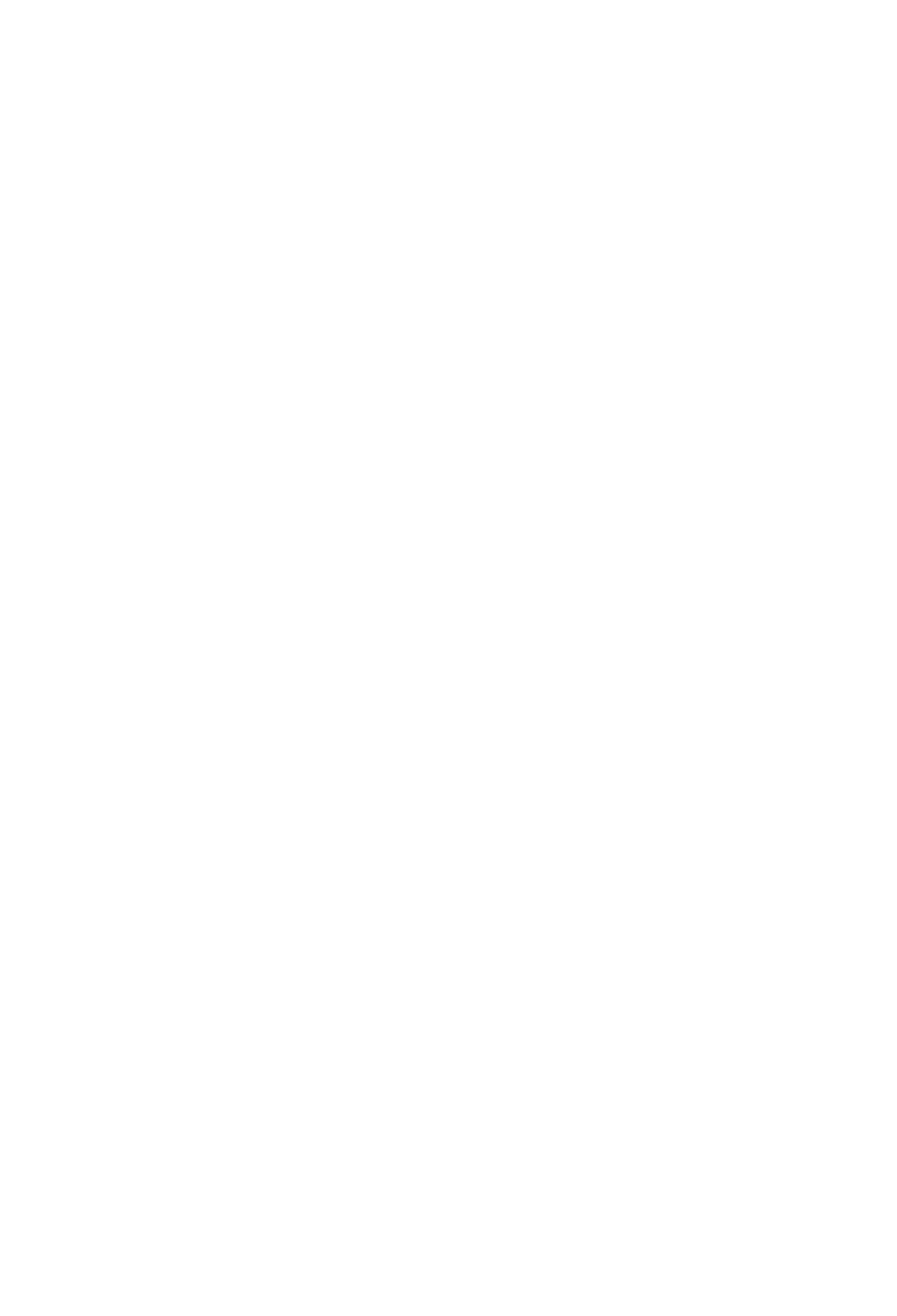7

which may be of the type more fully disclosed in the Riesz patent, and the buzz or vocal-cord type wave is generated in a relaxation oscillator 123 also more fully disclosed in the Riesz patent. If no fundamental component is being received, the continuous spectrum energy is transmitted by amplifier 121 and amplifier 121' into the supply circuit 126, the bias battery 122 being of the right value to permit this. Under these conditions the relaxation oscillator 123 is biased beyond cut-off by the bias source 124 so that no oscillations are generated. 10 When a fundamental voice component is received and any one of the relays 105, 109 or 110 is operated. corresponding voltage from source  $111$  or  $112$  or  $113$  is supplied through the high resistances 114 or 115 or 116 and filter 117 across potentiometer resistance 118 as <sup>15</sup> previously noted. The magnitude and polarity are such that when a voice fundamental current is received, amplifier 121 is rendered non-conducting by application of a large negative voltage to its grid and relaxation oscillator 123 is rendered operative to produce a tone 20 the fundamental frequency of which is dependent upon the voltage applied to it from resistance 118. Assuming as in the Riesz disclosure that the direct current in the output of filter of the distant station corresponding to 26 in the pitch control channel of FIG. 1 is proportional 25 to the fundamental frequency, the fundamental tone produced by relaxation oscillator 123 is likewise proportional to the current in resistance 118. This fundamental tone together with its wide range of harmonics is passed through an equalizer 125 and amplifier 125' 30 and is led into the supply circuit 126. It is seen, therefore, that whether the continuous spectrum noise or the vocal-cord type of sounds is being produced, either is supplied over conductor 126 to the various filters 127 35 leading to the reconstructing modulators 128.

The manner in which the speech is reconstructed is disclosed in the Dudley or Riesz patent. When the speechdefining signals are applied to one or more of the modulators 128 through low-pass filters 129 by operation of the corresponding receiving translating 40 relays 134, etc., these modulators transmit through to the eventual receiver 133 the corresponding proportion of the locally supplied energy (hiss or buzz) that is being supplied to these modulators through the various selective filters 127. The output waves from the modu-45 lators are passed through selective filters 131, the outputs of which are connected in common through equalizer 132 to receiver 133. Equalizer 132 may have a characteristic complementary to that of equalizer 32 of 50 FIG. 1.

Referring again to FIG. 3, the impulses as sent and received are shown in row III. Since the key used at the receiver is the same as that at the transmitter, row IV is a duplicate of row II. Combining the received impulses with the key yields directly the square-shaped wave of 55 row V, the square wave corresponding to the relay operation in the case of each of the relays 105, 109, 134, etc. The effect of the low-pass filter 117, 129, etc. is to round off the wave to the form shown by the fil-60 tered current curve as has previously been described.

The foregoing description of FIGS. 1 and 2 assumes that the coded impulses are sent on a multiplex carrier basis. FIG. 4 indicates another multiplexing device which may be used if desired. This comprises a rotary distributor 140 for each transmitting circuit and for 65 each receiving circuit, comprising an outer ring of twelve segments 141 and an inner continuous ring 142 with a bridging brush 143. The twelve conductors con-

nected individually to the twelve segments lead to terminals 1-12 which correspond to the similarly numbered terminals in FIGS. 1 and 2. It is assumed that the conductors in FIGS. 1 and 2 are severed at these terminals and that apparatus like that of FIG. 4 is substituted for the apparatus shown to the right of these terminals in each of FIGS. 1 and 2. The rotary distributor is driven by shaft 144 leading to gear-box 145 which is, in turn, driven by motor 146. The contact maker 82 may be driven through suitable gearing from the same motor, the contact 13 representing the point of connection when the rotary distributor is substituted in FIG. 1.

The rotary distributor is connected to the line conductors 148 and 149 by means of coupling resistance 147, one terminal of which is connected to ground which furnishes a return for the circuit connected to the armatures of the various transmitting relays 54–54 or in the case of the receiving station the various receiving relays 104, etc.

It will be necessary to synchronize the movements of the rotary distributors at the transmitting and receiving stations. Various means such as are known in the art may be used for this purpose. These distributors should make several or at least two revolutions in a time corresponding to one marking or spacing interval of the current in FIG. 3, row III.

In the system disclosed in FIGS. 1 and 2 it is assumed that the transmission time between the terminal stations is sufficiently short to permit the use of the same ciphering devices for both transmitting and receiving. If this is not the case, an arrangement as disclosed in FIG. 5 may be used. In this figure separate ciphering devices are used in the transmitting and receiving circuits of the station shown in FIGS. 1 and 2. Only one such transmitting ciphering device 76 is shown, the conductor 94 leading to the other ciphering device 75 not shown. Similarly, one ciphering device 150 is shown for the receiver with conductor 151 leading to the second such device. In this case the rotary contact maker 182 corresponding to contact maker 82 of FIG. 1, is provided with two displaced segments 83 and 183, whereby the transmitting cipher devices 75 and 76 are energized slightly ahead of the receiving ciphering devices 150, etc. At the distant cooperating station ciphering devices may be used in common for transmitting and receiving as shown in FIGS. 1 and 2, the correction for phase difference due to transmission time being made entirely at one station constructed in accordance with FIG. 5 arrangement. The angular distance between segments 83 and 183 must be made suitable to secure the correct phase relation.

An alternative means that may be used to convert square impulses into rounded impulses is illustrated in FIG. 6. This comprises a thermosensitive element and circuit to be substituted in lieu of the low-pass filters, for example, the lowpass filter 129 in the receiving low frequency channels of FIG. 2 or elsewhere in the system as may be desired.

FIG. 6 discloses the location of the device between one of the translating relays 134 and the modulator 128, that is, in place of the low-pass filter 129. The action of the device is to convert square-cornered impulses of the type illustrated in FIG. 7 into rounded impulses indicated roughly by the dotted line. The square-cornered impulses are produced by movements of the armature of relay 134 and the resulting rounded impulses are applied to the input of the modulator 128.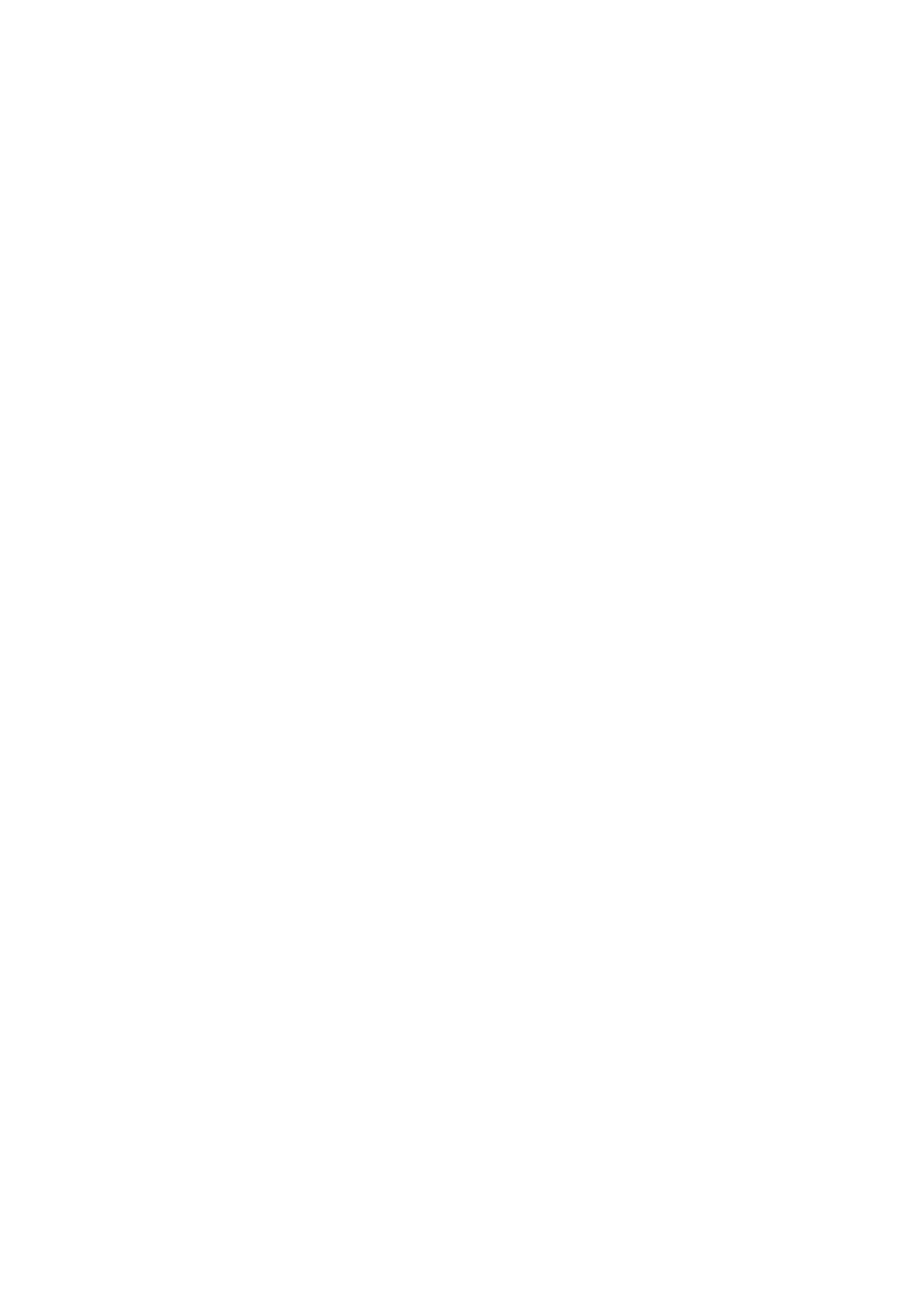- 5

The device 155 itself may take on any one of several forms but includes a thermosensitive element such as boron, silver sulphide or other substance provided with a heating winding 157 as diagrammatically shown. When the relay 134 attracts its armature and connects battery to the heater winding the temperature of the element 155 is raised, lowering its resistance and permitting current to flow into the input of the modulator 128 from the battery 158. The normal resistance of the element 155 is so high that substantially no current 10 flows through it after it has reached steady state condition with no current in the heating winding 157. When the armature of relay 134 breaks its front contact, the element 155 is not immediately restored to its maximum resistance condition but the cooling can be made 15 to take place gradually according to a desired rate to give the required amount of rounding of the current impulses. This may be done by controlling the shape and dimensions of the element itself and of the winding 157 and by controlling the rate of heat dissipation as by providing some heat insulation where necessary. Elements suitable for this purpose and the construction of the elements of the heating windings and of the means for controlling the heat dissipation are disclosed in one or more of the following U.S. Pat.: Andre et al No. 25 1,788,970, Jan. 13, 1931; Spray, No. 1,631,836, June 7, 1927; Grondahl No. 1, 741, 231, Dec. 21, 1929; and Black No. 2,160,823, June 6, 1939.

When silver sulphide is used it is better not to pass direct current through it but a source of alternating 30 current may be used as in FIG. 6A, the source being shown at 159. In this case a rectifier 160 may be used if desired for converting to direct current. Condenser 161 permits alternating current to flow through the element and condenser 162 may be used for smoothing 35 the rectified impulses.

The invention is not to be construed as limited to the specific disclosure but its scope is defined in the claims. which follow

What is claimed is:

1. In a system of secret transmission of speech, means to subdivide speech waves constituting a message into a plurality of narrow frequency bands, means to integrate the energy in each band, means individual to said bands to subdivide the integrated energy from each band on a 45 time basis to produce impulses with intervening spaces. and means to variably control said last-mentioned subdividing means individually in accordance with a key unrelated to the message.

2. The method of secret transmission of speech com- 50 prising simultaneously deriving from each of a plurality of frequency regions of speech waves a current which varies in accordance with the variations of energy content in the corresponding frequency region of the speech, interrupting said current to break the current 55 up into impulses of varying length and spacing, variably modifying the length and spacing of said impulses in accordance with a secret key, transmitting said impulses, and receiving and modifying the transmitted impulses in accordance with a duplicate key to restore 60 said currents to recognizable form.

3. The method of secret transmission of speech comprising analyzing speech message waves into a plurality of speech-defining waves representing syllabic rates of energy variation in each of a plurality of different fre- 65 quency regions of the speech waves, translating said speechdefining waves into marking impulses and spaces, reconstructing marking and spacing signals

therefrom varying in length and spacing in accordance with a prearranged scheme unrelated to the message, transmitting said marking and spacing signals, reconstructing speechdefining waves from the transmitted marking and spacing signals by supplying impulses in accordance with the same prearranged scheme, and reconstructing understandable speech from the reconstructed speech-defining waves.

4. In secret telephony, means to derive from the speech to be sent a plurality of relatively low frequency speech-defining signals, means to translate each of said signals into marking and spacing signs, and means to render the transmission of said signs secret comprising means to combine them with a random key composed of marking and spacing signs occurring in fortuitous order.

5. In secret telephony, means to derive from the speech to be sent a plurality of relatively low frequency speech-defining signals of varying amplitude, means to 20 produce from each such signal marking signs corresponding in length to the duration of signal current above a certain amplitude and spacing signs corresponding in length to the duration of absence of signal current above said certain amplitude, and means to render transmission of said signs secret comprising means to combine with them a random key composed of marking and spacing signs occurring in fortuitous order.

6. In secret telephony, means to derive from the speech to be sent a plurality of relatively low frequency speech-defining signals of varying amplitude, means to commutate said signals at irregular instants depending upon their amplitude to produce marking and spacing signs of varying length, and means to commutate said marking and spacing signs at irregular instants in accordance with a key.

7. In secret telephony, a multiplex transmission path, means to send through the separate channels thereof simultaneously marking and spacing signals indicative 40 of the frequency-energy distribution of distinct frequency regions of the speech spectrum, means comprising a key for each channel and means for combining the individual keys with the respective marking and spacing signals of the different channels to render transmission of said signals secret.

8. A system according to claim 7 including at the opposite end of said path a key for each channel which is a duplicate of the respective key at the sending end, means to combine said keys at said opposite end with the secretly sent signals to restore said signals to recognizable form, and means to reconstruct speech from the restored signals.

9. In secret telephony, means to derive from the speech to be sent a plurality of speech-defining signals each indicative of the energy variations with time of a different frequency region of the speech, means to translate each such signal above a certain amplitude into a mark and each such signal below said certain amplitude into a space, an individual key for each signal, consisting of marks and spaces of random occurrence, and means to combine each key with the marks and spaces obtained from an individual one of said signals, to render transmission of the latter marks and spaces secret.

10. In secret telephony, means to derive from the speech to be sent a plurality of speech-defining signals each indicative of the energy variations with time of a different frequency region of the speech, a separate